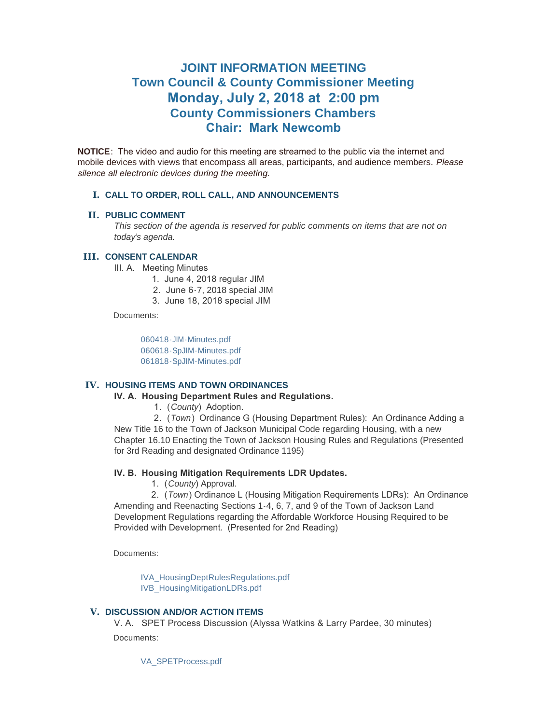# **JOINT INFORMATION MEETING Town Council & County Commissioner Meeting Monday, July 2, 2018 at 2:00 pm County Commissioners Chambers Chair: Mark Newcomb**

**NOTICE**: The video and audio for this meeting are streamed to the public via the internet and mobile devices with views that encompass all areas, participants, and audience members. *Please silence all electronic devices during the meeting.* 

### **CALL TO ORDER, ROLL CALL, AND ANNOUNCEMENTS I.**

#### **PUBLIC COMMENT II.**

*This section of the agenda is reserved for public comments on items that are not on today's agenda.*

#### **CONSENT CALENDAR III.**

III. A. Meeting Minutes

- 1. June 4, 2018 regular JIM
- 2. June 6-7, 2018 special JIM
- 3. June 18, 2018 special JIM

Documents:

[060418-JIM-Minutes.pdf](https://www.jacksonwy.gov/AgendaCenter/ViewFile/Item/1166?fileID=3770) [060618-SpJIM-Minutes.pdf](https://www.jacksonwy.gov/AgendaCenter/ViewFile/Item/1166?fileID=3771) [061818-SpJIM-Minutes.pdf](https://www.jacksonwy.gov/AgendaCenter/ViewFile/Item/1166?fileID=3772)

## **HOUSING ITEMS AND TOWN ORDINANCES IV.**

## **IV. A. Housing Department Rules and Regulations.**

1. (*County*) Adoption.

 2. (*Town*) Ordinance G (Housing Department Rules): An Ordinance Adding a New Title 16 to the Town of Jackson Municipal Code regarding Housing, with a new Chapter 16.10 Enacting the Town of Jackson Housing Rules and Regulations (Presented for 3rd Reading and designated Ordinance 1195)

## **IV. B. Housing Mitigation Requirements LDR Updates.**

1. (*County*) Approval.

 2. (*Town*) Ordinance L (Housing Mitigation Requirements LDRs): An Ordinance Amending and Reenacting Sections 1-4, 6, 7, and 9 of the Town of Jackson Land Development Regulations regarding the Affordable Workforce Housing Required to be Provided with Development. (Presented for 2nd Reading)

Documents:

[IVA\\_HousingDeptRulesRegulations.pdf](https://www.jacksonwy.gov/AgendaCenter/ViewFile/Item/1334?fileID=3773) [IVB\\_HousingMitigationLDRs.pdf](https://www.jacksonwy.gov/AgendaCenter/ViewFile/Item/1334?fileID=3774)

## **DISCUSSION AND/OR ACTION ITEMS V.**

V. A. SPET Process Discussion (Alyssa Watkins & Larry Pardee, 30 minutes) Documents:

[VA\\_SPETProcess.pdf](https://www.jacksonwy.gov/AgendaCenter/ViewFile/Item/1172?fileID=3775)